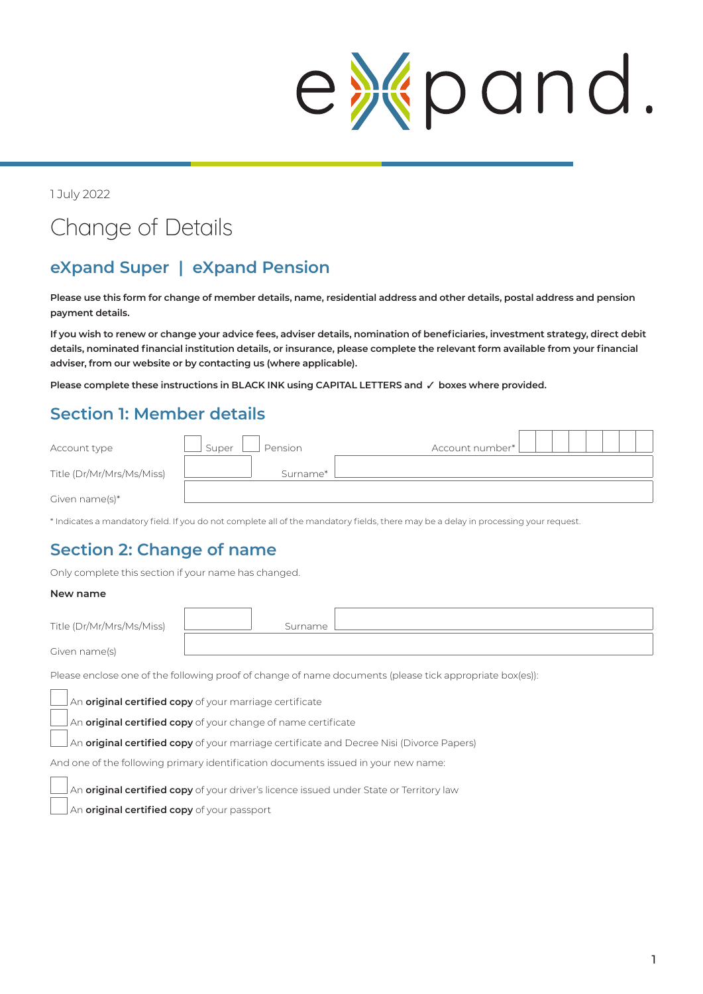# expand

1 July 2022

## Change of Details

## **eXpand Super | eXpand Pension**

**Please use this form for change of member details, name, residential address and other details, postal address and pension payment details.**

**If you wish to renew or change your advice fees, adviser details, nomination of beneficiaries, investment strategy, direct debit details, nominated financial institution details, or insurance, please complete the relevant form available from your financial adviser, from our website or by contacting us (where applicable).** 

**Please complete these instructions in BLACK INK using CAPITAL LETTERS and** 3 **boxes where provided.**

## **Section 1: Member details**

| Account type              | Pension<br>Super | Account number* |
|---------------------------|------------------|-----------------|
| Title (Dr/Mr/Mrs/Ms/Miss) | Surname*         |                 |
| Given name $(s)^*$        |                  |                 |

\* Indicates a mandatory field. If you do not complete all of the mandatory fields, there may be a delay in processing your request.

#### **Section 2: Change of name**

Only complete this section if your name has changed.

#### **New name**

| Title (Dr/Mr/Mrs/Ms/Miss) | Surname |  |
|---------------------------|---------|--|
| Given name(s)             |         |  |

Please enclose one of the following proof of change of name documents (please tick appropriate box(es)):

An **original certified copy** of your marriage certificate

An **original certified copy** of your change of name certificate

An **original certified copy** of your marriage certificate and Decree Nisi (Divorce Papers)

And one of the following primary identification documents issued in your new name:

An **original certified copy** of your driver's licence issued under State or Territory law

An **original certified copy** of your passport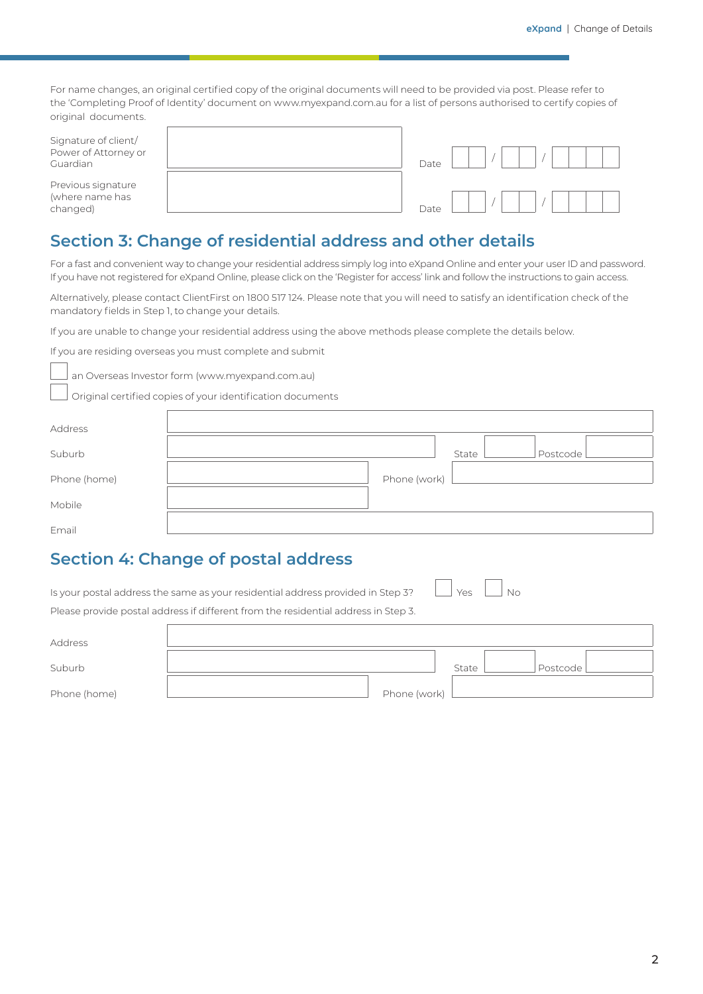For name changes, an original certified copy of the original documents will need to be provided via post. Please refer to the 'Completing Proof of Identity' document on www.myexpand.com.au for a list of persons authorised to certify copies of original documents.

| Signature of client/<br>Power of Attorney or<br>Guardian | Date |  |  |  |  |
|----------------------------------------------------------|------|--|--|--|--|
| Previous signature<br>(where name has<br>changed)        | Date |  |  |  |  |

#### **Section 3: Change of residential address and other details**

For a fast and convenient way to change your residential address simply log into eXpand Online and enter your user ID and password. If you have not registered for eXpand Online, please click on the 'Register for access' link and follow the instructions to gain access.

Alternatively, please contact ClientFirst on 1800 517 124. Please note that you will need to satisfy an identification check of the mandatory fields in Step 1, to change your details.

If you are unable to change your residential address using the above methods please complete the details below.

If you are residing overseas you must complete and submit

an Overseas Investor form (www.myexpand.com.au)

Original certified copies of your identification documents

| Address      |              |       |          |
|--------------|--------------|-------|----------|
|              |              |       |          |
| Suburb       |              | State | Postcode |
|              |              |       |          |
| Phone (home) | Phone (work) |       |          |
|              |              |       |          |
| Mobile       |              |       |          |
| Email        |              |       |          |
|              |              |       |          |

#### **Section 4: Change of postal address**

| Is your postal address the same as your residential address provided in Step 3? $\Box$ Yes $\Box$ No |  |  |
|------------------------------------------------------------------------------------------------------|--|--|
| Please provide postal address if different from the residential address in Step 3.                   |  |  |

| Address      |              |       |            |  |
|--------------|--------------|-------|------------|--|
|              |              |       |            |  |
| Suburb       |              | State | Postcode L |  |
|              |              |       |            |  |
| Phone (home) | Phone (work) |       |            |  |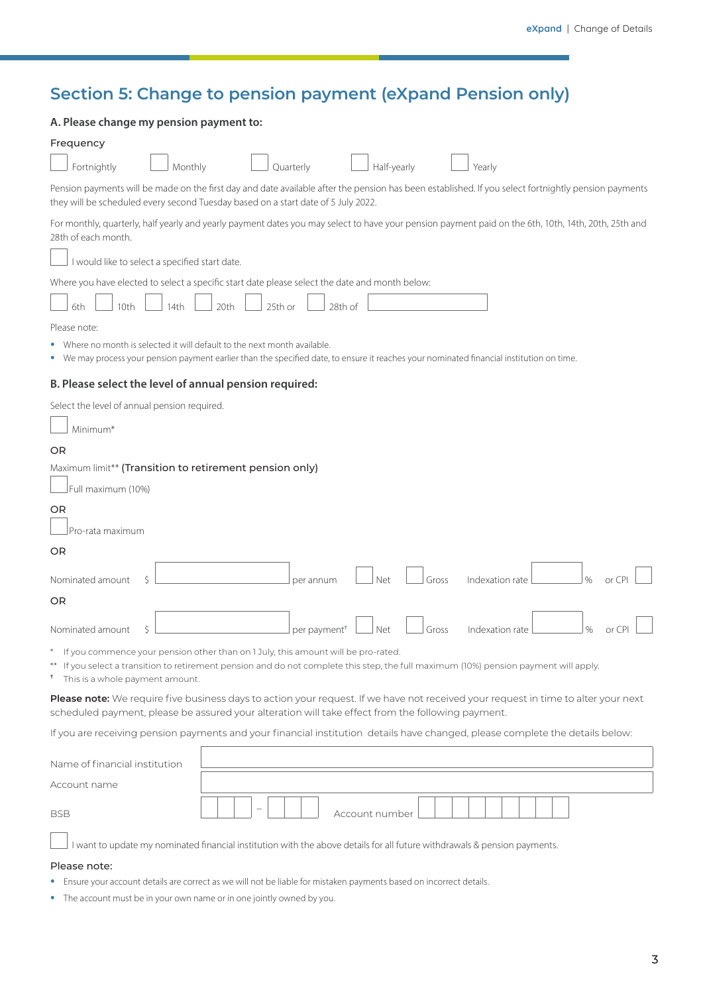### **Section 5: Change to pension payment (eXpand Pension only)**

| A. Please change my pension payment to:                                                                                                                                                                                                                                               |
|---------------------------------------------------------------------------------------------------------------------------------------------------------------------------------------------------------------------------------------------------------------------------------------|
| Frequency                                                                                                                                                                                                                                                                             |
| Half-yearly<br>Fortnightly<br>Monthly<br>Quarterly<br>Yearly                                                                                                                                                                                                                          |
| Pension payments will be made on the first day and date available after the pension has been established. If you select fortnightly pension payments<br>they will be scheduled every second Tuesday based on a start date of 5 July 2022.                                             |
| For monthly, quarterly, half yearly and yearly payment dates you may select to have your pension payment paid on the 6th, 10th, 14th, 20th, 25th and<br>28th of each month.                                                                                                           |
| I would like to select a specified start date.                                                                                                                                                                                                                                        |
| Where you have elected to select a specific start date please select the date and month below:                                                                                                                                                                                        |
| 10th<br>20th<br>25th or<br>28th of<br>6th<br>14th                                                                                                                                                                                                                                     |
| Please note:                                                                                                                                                                                                                                                                          |
| Where no month is selected it will default to the next month available.<br>• We may process your pension payment earlier than the specified date, to ensure it reaches your nominated financial institution on time.                                                                  |
| B. Please select the level of annual pension required:                                                                                                                                                                                                                                |
| Select the level of annual pension required.                                                                                                                                                                                                                                          |
| Minimum*                                                                                                                                                                                                                                                                              |
| <b>OR</b>                                                                                                                                                                                                                                                                             |
| Maximum limit** (Transition to retirement pension only)                                                                                                                                                                                                                               |
| Full maximum (10%)                                                                                                                                                                                                                                                                    |
| OR<br>Pro-rata maximum                                                                                                                                                                                                                                                                |
|                                                                                                                                                                                                                                                                                       |
| OR                                                                                                                                                                                                                                                                                    |
| Indexation rate<br>$\frac{0}{0}$<br>Nominated amount<br>Ŝ<br>Net<br>Gross<br>or CPI<br>per annum                                                                                                                                                                                      |
| OR                                                                                                                                                                                                                                                                                    |
| $\%$<br>Nominated amount<br>Ŝ.<br>Net<br>Gross<br>Indexation rate<br>per payment <sup>+</sup><br>or CPI                                                                                                                                                                               |
| If you commence your pension other than on 1 July, this amount will be pro-rated.<br>$^\ast$<br>** If you select a transition to retirement pension and do not complete this step, the full maximum (10%) pension payment will apply.<br><sup>t</sup> This is a whole payment amount. |
| Please note: We require five business days to action your request. If we have not received your request in time to alter your next<br>scheduled payment, please be assured your alteration will take effect from the following payment.                                               |
| If you are receiving pension payments and your financial institution details have changed, please complete the details below:                                                                                                                                                         |
| Name of financial institution                                                                                                                                                                                                                                                         |
| Account name                                                                                                                                                                                                                                                                          |
| Account number<br>BSB                                                                                                                                                                                                                                                                 |
| I want to update my nominated financial institution with the above details for all future withdrawals & pension payments.                                                                                                                                                             |

#### Please note:

- **•** Ensure your account details are correct as we will not be liable for mistaken payments based on incorrect details.
- **•** The account must be in your own name or in one jointly owned by you.